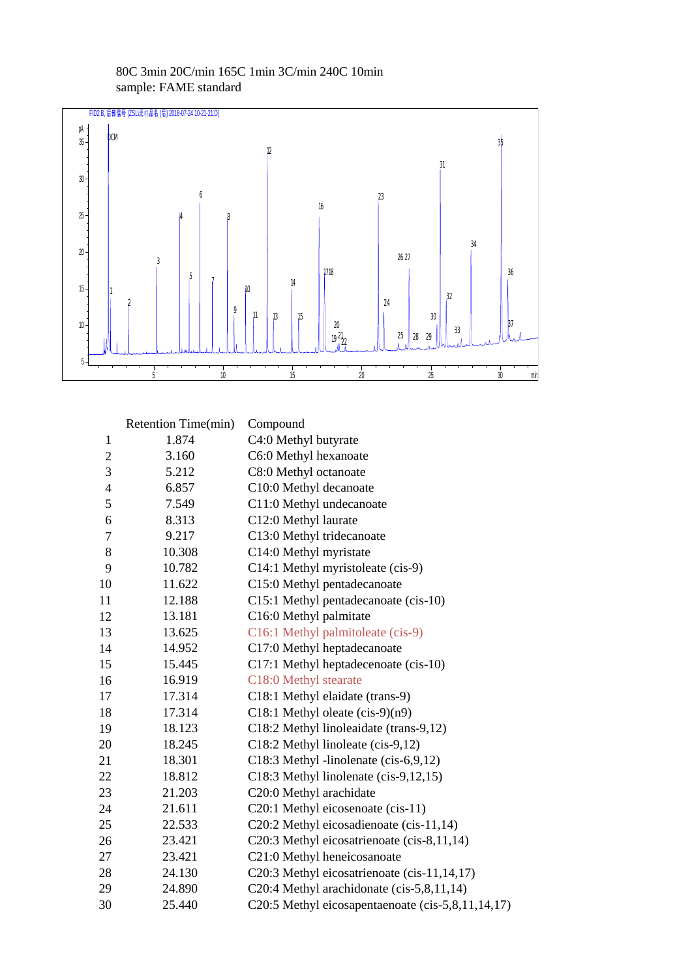

## 80C 3min 20C/min 165C 1min 3C/min 240C 10min sample: FAME standard

|                | Retention Time(min) | Compound                                          |
|----------------|---------------------|---------------------------------------------------|
| 1              | 1.874               | C4:0 Methyl butyrate                              |
| $\mathbf{2}$   | 3.160               | C6:0 Methyl hexanoate                             |
| 3              | 5.212               | C8:0 Methyl octanoate                             |
| $\overline{4}$ | 6.857               | C10:0 Methyl decanoate                            |
| 5              | 7.549               | C11:0 Methyl undecanoate                          |
| 6              | 8.313               | C12:0 Methyl laurate                              |
| $\tau$         | 9.217               | C13:0 Methyl tridecanoate                         |
| 8              | 10.308              | C14:0 Methyl myristate                            |
| 9              | 10.782              | C14:1 Methyl myristoleate (cis-9)                 |
| 10             | 11.622              | C15:0 Methyl pentadecanoate                       |
| 11             | 12.188              | C15:1 Methyl pentadecanoate (cis-10)              |
| 12             | 13.181              | C16:0 Methyl palmitate                            |
| 13             | 13.625              | C16:1 Methyl palmitoleate (cis-9)                 |
| 14             | 14.952              | C17:0 Methyl heptadecanoate                       |
| 15             | 15.445              | C17:1 Methyl heptadecenoate (cis-10)              |
| 16             | 16.919              | C18:0 Methyl stearate                             |
| 17             | 17.314              | C18:1 Methyl elaidate (trans-9)                   |
| 18             | 17.314              | C18:1 Methyl oleate $(cis-9)(n9)$                 |
| 19             | 18.123              | C18:2 Methyl linoleaidate (trans-9,12)            |
| 20             | 18.245              | C18:2 Methyl linoleate (cis-9,12)                 |
| 21             | 18.301              | C18:3 Methyl -linolenate (cis-6,9,12)             |
| 22             | 18.812              | C18:3 Methyl linolenate (cis-9,12,15)             |
| 23             | 21.203              | C20:0 Methyl arachidate                           |
| 24             | 21.611              | C20:1 Methyl eicosenoate (cis-11)                 |
| 25             | 22.533              | C20:2 Methyl eicosadienoate (cis-11,14)           |
| 26             | 23.421              | C20:3 Methyl eicosatrienoate (cis-8,11,14)        |
| 27             | 23.421              | C21:0 Methyl heneicosanoate                       |
| 28             | 24.130              | C20:3 Methyl eicosatrienoate (cis-11,14,17)       |
| 29             | 24.890              | C20:4 Methyl arachidonate (cis-5,8,11,14)         |
| 30             | 25.440              | C20:5 Methyl eicosapentaenoate (cis-5,8,11,14,17) |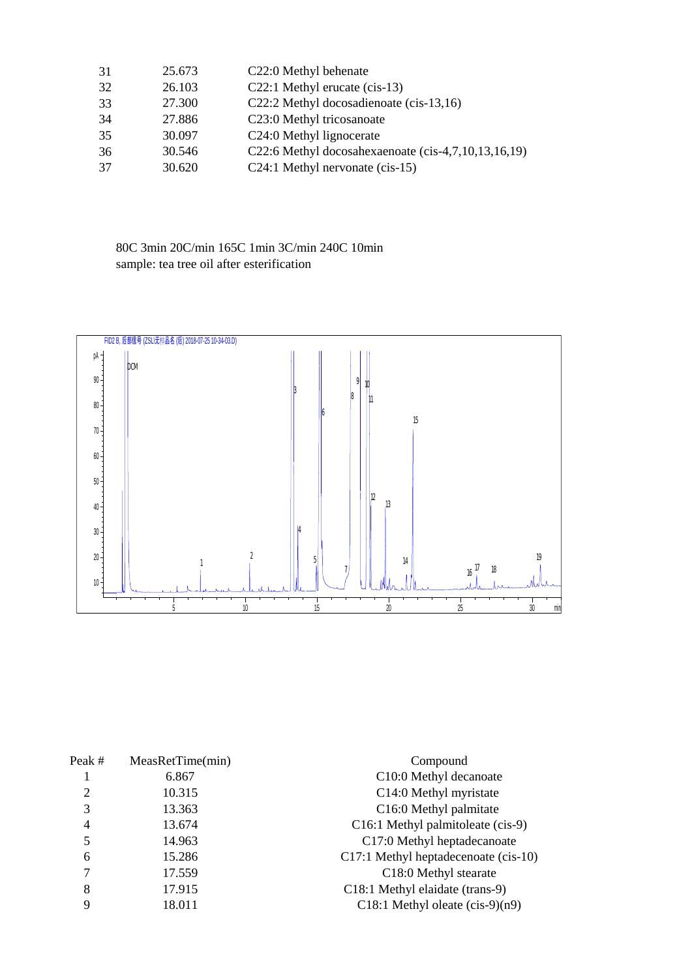| 31 | 25.673 | C22:0 Methyl behenate                               |
|----|--------|-----------------------------------------------------|
| 32 | 26.103 | C22:1 Methyl erucate (cis-13)                       |
| 33 | 27.300 | C22:2 Methyl docosadienoate (cis-13,16)             |
| 34 | 27.886 | C <sub>23</sub> :0 Methyl tricosanoate              |
| 35 | 30.097 | C <sub>24</sub> :0 Methyl lignocerate               |
| 36 | 30.546 | C22:6 Methyl docosahexaenoate (cis-4,7,10,13,16,19) |
| 37 | 30.620 | C24:1 Methyl nervonate (cis-15)                     |

80C 3min 20C/min 165C 1min 3C/min 240C 10min sample: tea tree oil after esterification



| Peak#  | MeasRetTime(min) | Compound                             |
|--------|------------------|--------------------------------------|
|        | 6.867            | C10:0 Methyl decanoate               |
| 2      | 10.315           | C14:0 Methyl myristate               |
| 3      | 13.363           | C <sub>16</sub> :0 Methyl palmitate  |
| 4      | 13.674           | C16:1 Methyl palmitoleate (cis-9)    |
| 5      | 14.963           | C17:0 Methyl heptadecanoate          |
| 6      | 15.286           | C17:1 Methyl heptadecenoate (cis-10) |
| $\tau$ | 17.559           | C18:0 Methyl stearate                |
| 8      | 17.915           | C18:1 Methyl elaidate (trans-9)      |
| 9      | 18.011           | C18:1 Methyl oleate $(cis-9)(n9)$    |
|        |                  |                                      |